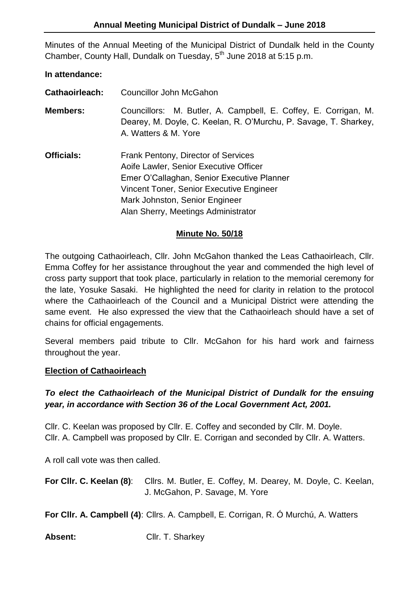Minutes of the Annual Meeting of the Municipal District of Dundalk held in the County Chamber, County Hall, Dundalk on Tuesday, 5<sup>th</sup> June 2018 at 5:15 p.m.

#### **In attendance:**

**Cathaoirleach:** Councillor John McGahon

**Members:** Councillors: M. Butler, A. Campbell, E. Coffey, E. Corrigan, M. Dearey, M. Doyle, C. Keelan, R. O'Murchu, P. Savage, T. Sharkey, A. Watters & M. Yore

**Officials:** Frank Pentony, Director of Services Aoife Lawler, Senior Executive Officer Emer O'Callaghan, Senior Executive Planner Vincent Toner, Senior Executive Engineer Mark Johnston, Senior Engineer Alan Sherry, Meetings Administrator

## **Minute No. 50/18**

The outgoing Cathaoirleach, Cllr. John McGahon thanked the Leas Cathaoirleach, Cllr. Emma Coffey for her assistance throughout the year and commended the high level of cross party support that took place, particularly in relation to the memorial ceremony for the late, Yosuke Sasaki. He highlighted the need for clarity in relation to the protocol where the Cathaoirleach of the Council and a Municipal District were attending the same event. He also expressed the view that the Cathaoirleach should have a set of chains for official engagements.

Several members paid tribute to Cllr. McGahon for his hard work and fairness throughout the year.

#### **Election of Cathaoirleach**

## *To elect the Cathaoirleach of the Municipal District of Dundalk for the ensuing year, in accordance with Section 36 of the Local Government Act, 2001.*

Cllr. C. Keelan was proposed by Cllr. E. Coffey and seconded by Cllr. M. Doyle. Cllr. A. Campbell was proposed by Cllr. E. Corrigan and seconded by Cllr. A. Watters.

A roll call vote was then called.

**For Cllr. C. Keelan (8)**: Cllrs. M. Butler, E. Coffey, M. Dearey, M. Doyle, C. Keelan, J. McGahon, P. Savage, M. Yore

**For Cllr. A. Campbell (4)**: Cllrs. A. Campbell, E. Corrigan, R. Ó Murchú, A. Watters

Absent: Cllr. T. Sharkey